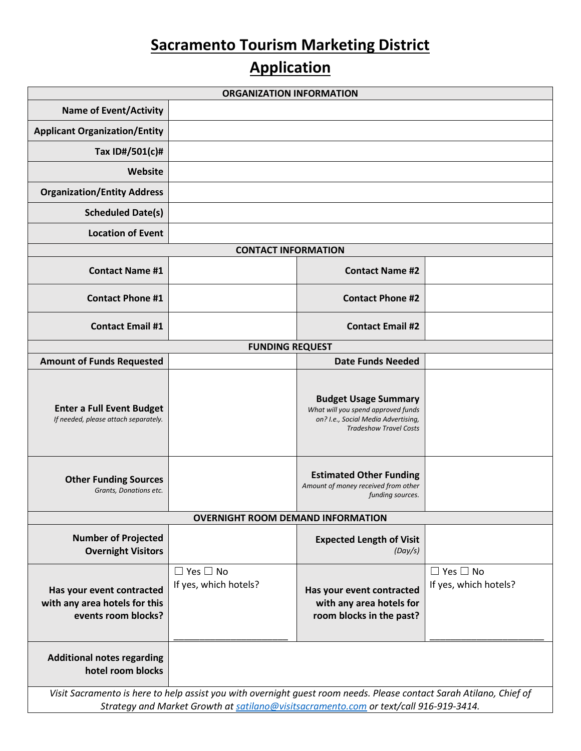## **Sacramento Tourism Marketing District**

## **Application**

| <b>ORGANIZATION INFORMATION</b>                                                                                                                                                                              |                                               |                                                                                                                                           |                                               |  |
|--------------------------------------------------------------------------------------------------------------------------------------------------------------------------------------------------------------|-----------------------------------------------|-------------------------------------------------------------------------------------------------------------------------------------------|-----------------------------------------------|--|
| <b>Name of Event/Activity</b>                                                                                                                                                                                |                                               |                                                                                                                                           |                                               |  |
| <b>Applicant Organization/Entity</b>                                                                                                                                                                         |                                               |                                                                                                                                           |                                               |  |
| Tax ID#/501(c)#                                                                                                                                                                                              |                                               |                                                                                                                                           |                                               |  |
| Website                                                                                                                                                                                                      |                                               |                                                                                                                                           |                                               |  |
| <b>Organization/Entity Address</b>                                                                                                                                                                           |                                               |                                                                                                                                           |                                               |  |
| <b>Scheduled Date(s)</b>                                                                                                                                                                                     |                                               |                                                                                                                                           |                                               |  |
| <b>Location of Event</b>                                                                                                                                                                                     |                                               |                                                                                                                                           |                                               |  |
|                                                                                                                                                                                                              | <b>CONTACT INFORMATION</b>                    |                                                                                                                                           |                                               |  |
| <b>Contact Name #1</b>                                                                                                                                                                                       |                                               | <b>Contact Name #2</b>                                                                                                                    |                                               |  |
| <b>Contact Phone #1</b>                                                                                                                                                                                      |                                               | <b>Contact Phone #2</b>                                                                                                                   |                                               |  |
| <b>Contact Email #1</b>                                                                                                                                                                                      |                                               | <b>Contact Email #2</b>                                                                                                                   |                                               |  |
| <b>FUNDING REQUEST</b>                                                                                                                                                                                       |                                               |                                                                                                                                           |                                               |  |
| <b>Amount of Funds Requested</b>                                                                                                                                                                             |                                               | <b>Date Funds Needed</b>                                                                                                                  |                                               |  |
| <b>Enter a Full Event Budget</b><br>If needed, please attach separately.                                                                                                                                     |                                               | <b>Budget Usage Summary</b><br>What will you spend approved funds<br>on? I.e., Social Media Advertising,<br><b>Tradeshow Travel Costs</b> |                                               |  |
| <b>Other Funding Sources</b><br>Grants, Donations etc.                                                                                                                                                       |                                               | <b>Estimated Other Funding</b><br>Amount of money received from other<br>funding sources.                                                 |                                               |  |
|                                                                                                                                                                                                              | <b>OVERNIGHT ROOM DEMAND INFORMATION</b>      |                                                                                                                                           |                                               |  |
| <b>Number of Projected</b><br><b>Overnight Visitors</b>                                                                                                                                                      |                                               | <b>Expected Length of Visit</b><br>(Day/s)                                                                                                |                                               |  |
| Has your event contracted<br>with any area hotels for this<br>events room blocks?                                                                                                                            | $\Box$ Yes $\Box$ No<br>If yes, which hotels? | Has your event contracted<br>with any area hotels for<br>room blocks in the past?                                                         | $\Box$ Yes $\Box$ No<br>If yes, which hotels? |  |
| <b>Additional notes regarding</b><br>hotel room blocks                                                                                                                                                       |                                               |                                                                                                                                           |                                               |  |
| Visit Sacramento is here to help assist you with overnight guest room needs. Please contact Sarah Atilano, Chief of<br>Strategy and Market Growth at satilano@visitsacramento.com or text/call 916-919-3414. |                                               |                                                                                                                                           |                                               |  |